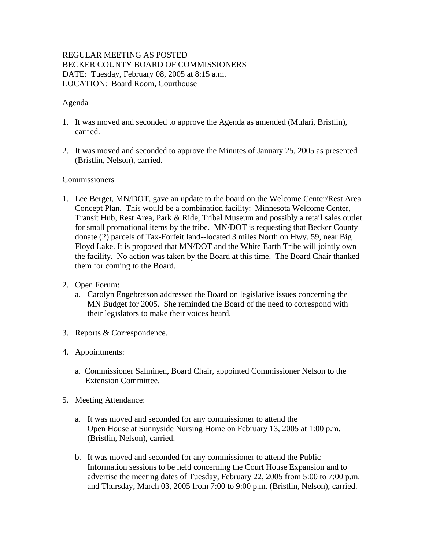# REGULAR MEETING AS POSTED BECKER COUNTY BOARD OF COMMISSIONERS DATE: Tuesday, February 08, 2005 at 8:15 a.m. LOCATION: Board Room, Courthouse

## Agenda

- 1. It was moved and seconded to approve the Agenda as amended (Mulari, Bristlin), carried.
- 2. It was moved and seconded to approve the Minutes of January 25, 2005 as presented (Bristlin, Nelson), carried.

## **Commissioners**

- 1. Lee Berget, MN/DOT, gave an update to the board on the Welcome Center/Rest Area Concept Plan. This would be a combination facility: Minnesota Welcome Center, Transit Hub, Rest Area, Park & Ride, Tribal Museum and possibly a retail sales outlet for small promotional items by the tribe. MN/DOT is requesting that Becker County donate (2) parcels of Tax-Forfeit land--located 3 miles North on Hwy. 59, near Big Floyd Lake. It is proposed that MN/DOT and the White Earth Tribe will jointly own the facility. No action was taken by the Board at this time. The Board Chair thanked them for coming to the Board.
- 2. Open Forum:
	- a. Carolyn Engebretson addressed the Board on legislative issues concerning the MN Budget for 2005. She reminded the Board of the need to correspond with their legislators to make their voices heard.
- 3. Reports & Correspondence.
- 4. Appointments:
	- a. Commissioner Salminen, Board Chair, appointed Commissioner Nelson to the Extension Committee.
- 5. Meeting Attendance:
	- a. It was moved and seconded for any commissioner to attend the Open House at Sunnyside Nursing Home on February 13, 2005 at 1:00 p.m. (Bristlin, Nelson), carried.
	- b. It was moved and seconded for any commissioner to attend the Public Information sessions to be held concerning the Court House Expansion and to advertise the meeting dates of Tuesday, February 22, 2005 from 5:00 to 7:00 p.m. and Thursday, March 03, 2005 from 7:00 to 9:00 p.m. (Bristlin, Nelson), carried.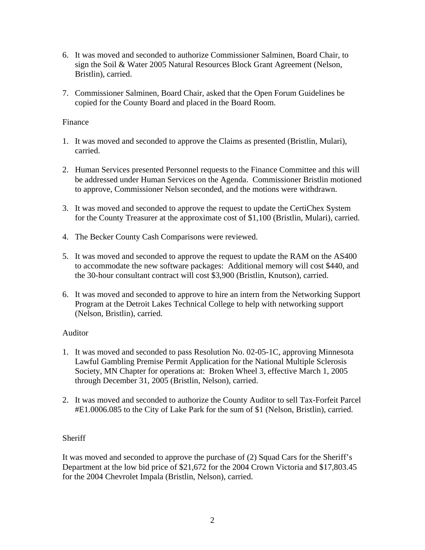- 6. It was moved and seconded to authorize Commissioner Salminen, Board Chair, to sign the Soil & Water 2005 Natural Resources Block Grant Agreement (Nelson, Bristlin), carried.
- 7. Commissioner Salminen, Board Chair, asked that the Open Forum Guidelines be copied for the County Board and placed in the Board Room.

# Finance

- 1. It was moved and seconded to approve the Claims as presented (Bristlin, Mulari), carried.
- 2. Human Services presented Personnel requests to the Finance Committee and this will be addressed under Human Services on the Agenda. Commissioner Bristlin motioned to approve, Commissioner Nelson seconded, and the motions were withdrawn.
- 3. It was moved and seconded to approve the request to update the CertiChex System for the County Treasurer at the approximate cost of \$1,100 (Bristlin, Mulari), carried.
- 4. The Becker County Cash Comparisons were reviewed.
- 5. It was moved and seconded to approve the request to update the RAM on the AS400 to accommodate the new software packages: Additional memory will cost \$440, and the 30-hour consultant contract will cost \$3,900 (Bristlin, Knutson), carried.
- 6. It was moved and seconded to approve to hire an intern from the Networking Support Program at the Detroit Lakes Technical College to help with networking support (Nelson, Bristlin), carried.

# Auditor

- 1. It was moved and seconded to pass Resolution No. 02-05-1C, approving Minnesota Lawful Gambling Premise Permit Application for the National Multiple Sclerosis Society, MN Chapter for operations at: Broken Wheel 3, effective March 1, 2005 through December 31, 2005 (Bristlin, Nelson), carried.
- 2. It was moved and seconded to authorize the County Auditor to sell Tax-Forfeit Parcel #E1.0006.085 to the City of Lake Park for the sum of \$1 (Nelson, Bristlin), carried.

# **Sheriff**

It was moved and seconded to approve the purchase of (2) Squad Cars for the Sheriff's Department at the low bid price of \$21,672 for the 2004 Crown Victoria and \$17,803.45 for the 2004 Chevrolet Impala (Bristlin, Nelson), carried.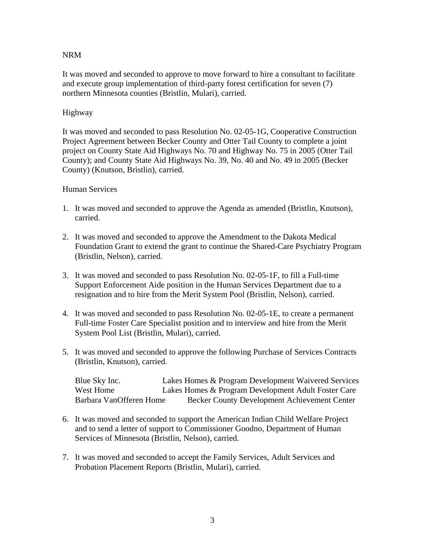# NRM

It was moved and seconded to approve to move forward to hire a consultant to facilitate and execute group implementation of third-party forest certification for seven (7) northern Minnesota counties (Bristlin, Mulari), carried.

#### Highway

It was moved and seconded to pass Resolution No. 02-05-1G, Cooperative Construction Project Agreement between Becker County and Otter Tail County to complete a joint project on County State Aid Highways No. 70 and Highway No. 75 in 2005 (Otter Tail County); and County State Aid Highways No. 39, No. 40 and No. 49 in 2005 (Becker County) (Knutson, Bristlin), carried.

#### Human Services

- 1. It was moved and seconded to approve the Agenda as amended (Bristlin, Knutson), carried.
- 2. It was moved and seconded to approve the Amendment to the Dakota Medical Foundation Grant to extend the grant to continue the Shared-Care Psychiatry Program (Bristlin, Nelson), carried.
- 3. It was moved and seconded to pass Resolution No. 02-05-1F, to fill a Full-time Support Enforcement Aide position in the Human Services Department due to a resignation and to hire from the Merit System Pool (Bristlin, Nelson), carried.
- 4. It was moved and seconded to pass Resolution No. 02-05-1E, to create a permanent Full-time Foster Care Specialist position and to interview and hire from the Merit System Pool List (Bristlin, Mulari), carried.
- 5. It was moved and seconded to approve the following Purchase of Services Contracts (Bristlin, Knutson), carried.

Blue Sky Inc. Lakes Homes & Program Development Waivered Services West Home Lakes Homes & Program Development Adult Foster Care Barbara VanOfferen Home Becker County Development Achievement Center

- 6. It was moved and seconded to support the American Indian Child Welfare Project and to send a letter of support to Commissioner Goodno, Department of Human Services of Minnesota (Bristlin, Nelson), carried.
- 7. It was moved and seconded to accept the Family Services, Adult Services and Probation Placement Reports (Bristlin, Mulari), carried.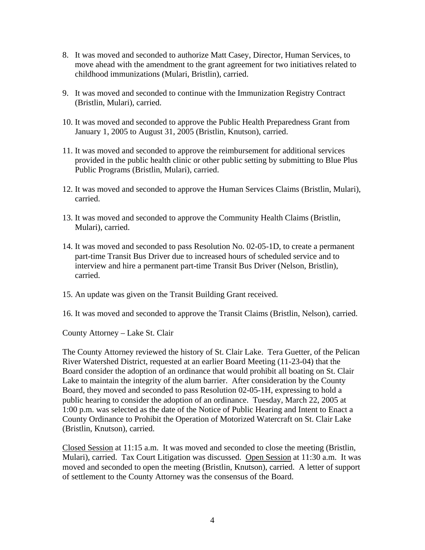- 8. It was moved and seconded to authorize Matt Casey, Director, Human Services, to move ahead with the amendment to the grant agreement for two initiatives related to childhood immunizations (Mulari, Bristlin), carried.
- 9. It was moved and seconded to continue with the Immunization Registry Contract (Bristlin, Mulari), carried.
- 10. It was moved and seconded to approve the Public Health Preparedness Grant from January 1, 2005 to August 31, 2005 (Bristlin, Knutson), carried.
- 11. It was moved and seconded to approve the reimbursement for additional services provided in the public health clinic or other public setting by submitting to Blue Plus Public Programs (Bristlin, Mulari), carried.
- 12. It was moved and seconded to approve the Human Services Claims (Bristlin, Mulari), carried.
- 13. It was moved and seconded to approve the Community Health Claims (Bristlin, Mulari), carried.
- 14. It was moved and seconded to pass Resolution No. 02-05-1D, to create a permanent part-time Transit Bus Driver due to increased hours of scheduled service and to interview and hire a permanent part-time Transit Bus Driver (Nelson, Bristlin), carried.
- 15. An update was given on the Transit Building Grant received.
- 16. It was moved and seconded to approve the Transit Claims (Bristlin, Nelson), carried.

County Attorney – Lake St. Clair

The County Attorney reviewed the history of St. Clair Lake. Tera Guetter, of the Pelican River Watershed District, requested at an earlier Board Meeting (11-23-04) that the Board consider the adoption of an ordinance that would prohibit all boating on St. Clair Lake to maintain the integrity of the alum barrier. After consideration by the County Board, they moved and seconded to pass Resolution 02-05-1H, expressing to hold a public hearing to consider the adoption of an ordinance. Tuesday, March 22, 2005 at 1:00 p.m. was selected as the date of the Notice of Public Hearing and Intent to Enact a County Ordinance to Prohibit the Operation of Motorized Watercraft on St. Clair Lake (Bristlin, Knutson), carried.

Closed Session at 11:15 a.m. It was moved and seconded to close the meeting (Bristlin, Mulari), carried. Tax Court Litigation was discussed. Open Session at 11:30 a.m. It was moved and seconded to open the meeting (Bristlin, Knutson), carried. A letter of support of settlement to the County Attorney was the consensus of the Board.